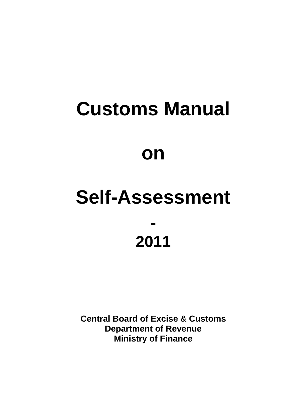# **Customs Manual on**

# **Self-Assessment - 2011**

**Central Board of Excise & Customs Department of Revenue Ministry of Finance**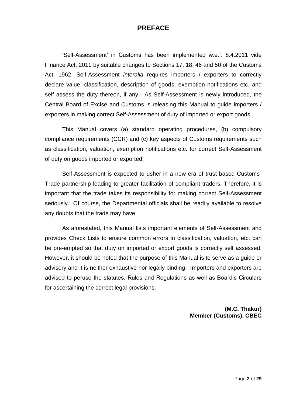#### **PREFACE**

"Self-Assessment" in Customs has been implemented w.e.f. 8.4.2011 vide Finance Act, 2011 by suitable changes to Sections 17, 18, 46 and 50 of the Customs Act, 1962. Self-Assessment *interalia* requires importers / exporters to correctly declare value, classification, description of goods, exemption notifications etc. and self assess the duty thereon, if any. As Self-Assessment is newly introduced, the Central Board of Excise and Customs is releasing this Manual to guide importers / exporters in making correct Self-Assessment of duty of imported or export goods.

This Manual covers (a) standard operating procedures, (b) compulsory compliance requirements (CCR) and (c) key aspects of Customs requirements such as classification, valuation, exemption notifications etc. for correct Self-Assessment of duty on goods imported or exported.

Self-Assessment is expected to usher in a new era of trust based Customs-Trade partnership leading to greater facilitation of compliant traders. Therefore, it is important that the trade takes its responsibility for making correct Self-Assessment seriously. Of course, the Departmental officials shall be readily available to resolve any doubts that the trade may have.

As aforestated, this Manual lists important elements of Self-Assessment and provides Check Lists to ensure common errors in classification, valuation, etc. can be pre-empted so that duty on imported or export goods is correctly self assessed. However, it should be noted that the purpose of this Manual is to serve as a guide or advisory and it is neither exhaustive nor legally binding. Importers and exporters are advised to peruse the statutes, Rules and Regulations as well as Board"s Circulars for ascertaining the correct legal provisions.

> **(M.C. Thakur) Member (Customs), CBEC**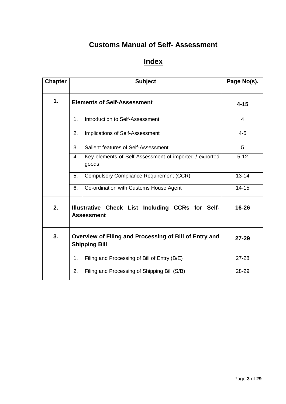### **Customs Manual of Self- Assessment**

# **Index**

| <b>Chapter</b> | <b>Subject</b>                                                        |                                                                                | Page No(s). |
|----------------|-----------------------------------------------------------------------|--------------------------------------------------------------------------------|-------------|
| 1.             | <b>Elements of Self-Assessment</b>                                    |                                                                                | $4 - 15$    |
|                | 1 <sub>1</sub>                                                        | Introduction to Self-Assessment                                                | 4           |
|                | 2.                                                                    | Implications of Self-Assessment                                                | $4 - 5$     |
|                | 3.                                                                    | Salient features of Self-Assessment                                            | 5           |
|                | 4.                                                                    | Key elements of Self-Assessment of imported / exported<br>goods                | $5 - 12$    |
|                | 5.                                                                    | <b>Compulsory Compliance Requirement (CCR)</b>                                 | $13 - 14$   |
|                | 6.                                                                    | Co-ordination with Customs House Agent                                         | $14 - 15$   |
| 2.             | Illustrative Check List Including CCRs for Self-<br><b>Assessment</b> |                                                                                | 16-26       |
| 3.             |                                                                       | Overview of Filing and Processing of Bill of Entry and<br><b>Shipping Bill</b> | $27 - 29$   |
|                | 1.                                                                    | Filing and Processing of Bill of Entry (B/E)                                   | $27 - 28$   |
|                | 2.                                                                    | Filing and Processing of Shipping Bill (S/B)                                   | 28-29       |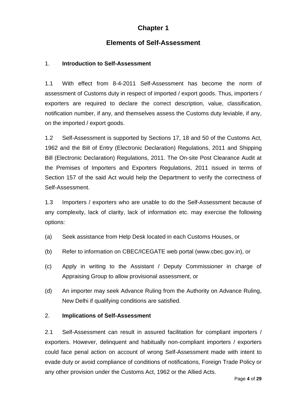#### **Chapter 1**

#### **Elements of Self-Assessment**

#### 1. **Introduction to Self-Assessment**

1.1 With effect from 8-4-2011 Self-Assessment has become the norm of assessment of Customs duty in respect of imported / export goods. Thus, importers / exporters are required to declare the correct description, value, classification, notification number, if any, and themselves assess the Customs duty leviable, if any, on the imported / export goods.

1.2 Self-Assessment is supported by Sections 17, 18 and 50 of the Customs Act, 1962 and the Bill of Entry (Electronic Declaration) Regulations, 2011 and Shipping Bill (Electronic Declaration) Regulations, 2011. The On-site Post Clearance Audit at the Premises of Importers and Exporters Regulations, 2011 issued in terms of Section 157 of the said Act would help the Department to verify the correctness of Self-Assessment.

1.3 Importers / exporters who are unable to do the Self-Assessment because of any complexity, lack of clarity, lack of information etc. may exercise the following options:

- (a) Seek assistance from Help Desk located in each Customs Houses, or
- (b) Refer to information on CBEC/ICEGATE web portal (www.cbec.gov.in), or
- (c) Apply in writing to the Assistant / Deputy Commissioner in charge of Appraising Group to allow provisional assessment, or
- (d) An importer may seek Advance Ruling from the Authority on Advance Ruling, New Delhi if qualifying conditions are satisfied.

#### 2. **Implications of Self-Assessment**

2.1 Self-Assessment can result in assured facilitation for compliant importers / exporters. However, delinquent and habitually non-compliant importers / exporters could face penal action on account of wrong Self-Assessment made with intent to evade duty or avoid compliance of conditions of notifications, Foreign Trade Policy or any other provision under the Customs Act, 1962 or the Allied Acts.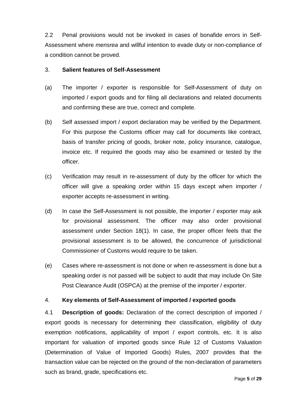2.2 Penal provisions would not be invoked in cases of bonafide errors in Self-Assessment where *mensrea* and willful intention to evade duty or non-compliance of a condition cannot be proved.

#### 3. **Salient features of Self-Assessment**

- (a) The importer / exporter is responsible for Self-Assessment of duty on imported / export goods and for filing all declarations and related documents and confirming these are true, correct and complete.
- (b) Self assessed import / export declaration may be verified by the Department. For this purpose the Customs officer may call for documents like contract, basis of transfer pricing of goods, broker note, policy insurance, catalogue, invoice etc. If required the goods may also be examined or tested by the officer.
- (c) Verification may result in re-assessment of duty by the officer for which the officer will give a speaking order within 15 days except when importer / exporter accepts re-assessment in writing.
- (d) In case the Self-Assessment is not possible, the importer / exporter may ask for provisional assessment. The officer may also order provisional assessment under Section 18(1). In case, the proper officer feels that the provisional assessment is to be allowed, the concurrence of jurisdictional Commissioner of Customs would require to be taken.
- (e) Cases where re-assessment is not done or when re-assessment is done but a speaking order is not passed will be subject to audit that may include On Site Post Clearance Audit (OSPCA) at the premise of the importer / exporter.

#### 4. **Key elements of Self-Assessment of imported / exported goods**

4.1 **Description of goods:** Declaration of the correct description of imported / export goods is necessary for determining their classification, eligibility of duty exemption notifications, applicability of import / export controls, etc. It is also important for valuation of imported goods since Rule 12 of Customs Valuation (Determination of Value of Imported Goods) Rules, 2007 provides that the transaction value can be rejected on the ground of the non-declaration of parameters such as brand, grade, specifications etc.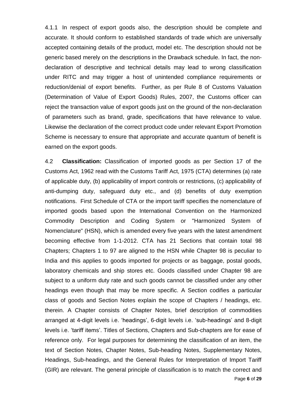4.1.1 In respect of export goods also, the description should be complete and accurate. It should conform to established standards of trade which are universally accepted containing details of the product, model etc. The description should not be generic based merely on the descriptions in the Drawback schedule. In fact, the nondeclaration of descriptive and technical details may lead to wrong classification under RITC and may trigger a host of unintended compliance requirements or reduction/denial of export benefits. Further, as per Rule 8 of Customs Valuation (Determination of Value of Export Goods) Rules, 2007, the Customs officer can reject the transaction value of export goods just on the ground of the non-declaration of parameters such as brand, grade, specifications that have relevance to value. Likewise the declaration of the correct product code under relevant Export Promotion Scheme is necessary to ensure that appropriate and accurate quantum of benefit is earned on the export goods.

Page **6** of **29** 4.2 **Classification:** Classification of imported goods as per Section 17 of the Customs Act, 1962 read with the Customs Tariff Act, 1975 (CTA) determines (a) rate of applicable duty, (b) applicability of import controls or restrictions, (c) applicability of anti-dumping duty, safeguard duty etc., and (d) benefits of duty exemption notifications. First Schedule of CTA or the import tariff specifies the nomenclature of imported goods based upon the International Convention on the Harmonized Commodity Description and Coding System or "Harmonized System of Nomenclature" (HSN), which is amended every five years with the latest amendment becoming effective from 1-1-2012. CTA has 21 Sections that contain total 98 Chapters; Chapters 1 to 97 are aligned to the HSN while Chapter 98 is peculiar to India and this applies to goods imported for projects or as baggage, postal goods, laboratory chemicals and ship stores etc. Goods classified under Chapter 98 are subject to a uniform duty rate and such goods cannot be classified under any other headings even though that may be more specific. A Section codifies a particular class of goods and Section Notes explain the scope of Chapters / headings, etc. therein. A Chapter consists of Chapter Notes, brief description of commodities arranged at 4-digit levels i.e. "headings", 6-digit levels i.e. "sub-headings" and 8-digit levels i.e. "tariff items". Titles of Sections, Chapters and Sub-chapters are for ease of reference only. For legal purposes for determining the classification of an item, the text of Section Notes, Chapter Notes, Sub-heading Notes, Supplementary Notes, Headings, Sub-headings, and the General Rules for Interpretation of Import Tariff (GIR) are relevant. The general principle of classification is to match the correct and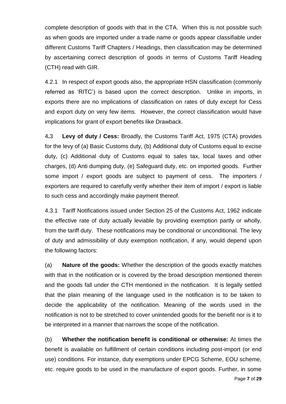complete description of goods with that in the CTA. When this is not possible such as when goods are imported under a trade name or goods appear classifiable under different Customs Tariff Chapters / Headings, then classification may be determined by ascertaining correct description of goods in terms of Customs Tariff Heading (CTH) read with GIR.

4.2.1 In respect of export goods also, the appropriate HSN classification (commonly referred as "RITC") is based upon the correct description. Unlike in imports, in exports there are no implications of classification on rates of duty except for Cess and export duty on very few items. However, the correct classification would have implications for grant of export benefits like Drawback.

4**.**3 **Levy of duty / Cess:** Broadly, the Customs Tariff Act, 1975 (CTA) provides for the levy of (a) Basic Customs duty, (b) Additional duty of Customs equal to excise duty, (c) Additional duty of Customs equal to sales tax, local taxes and other charges, (d) Anti dumping duty, (e) Safeguard duty, etc. on imported goods. Further some import / export goods are subject to payment of cess. The importers / exporters are required to carefully verify whether their item of import / export is liable to such cess and accordingly make payment thereof.

4.3.1 Tariff Notifications issued under Section 25 of the Customs Act, 1962 indicate the effective rate of duty actually leviable by providing exemption partly or wholly, from the tariff duty. These notifications may be conditional or unconditional. The levy of duty and admissibility of duty exemption notification, if any, would depend upon the following factors:

(a) **Nature of the goods:** Whether the description of the goods exactly matches with that in the notification or is covered by the broad description mentioned therein and the goods fall under the CTH mentioned in the notification. It is legally settled that the plain meaning of the language used in the notification is to be taken to decide the applicability of the notification. Meaning of the words used in the notification is not to be stretched to cover unintended goods for the benefit nor is it to be interpreted in a manner that narrows the scope of the notification.

(b) **Whether the notification benefit is conditional or otherwise:** At times the benefit is available on fulfillment of certain conditions including post-import (or end use) conditions. For instance, duty exemptions under EPCG Scheme, EOU scheme, etc. require goods to be used in the manufacture of export goods. Further, in some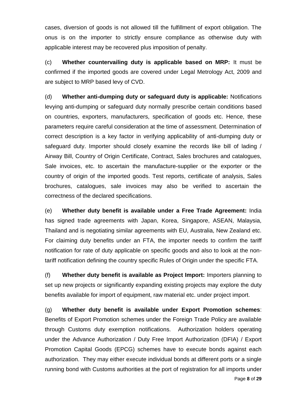cases, diversion of goods is not allowed till the fulfillment of export obligation. The onus is on the importer to strictly ensure compliance as otherwise duty with applicable interest may be recovered plus imposition of penalty.

(c) **Whether countervailing duty is applicable based on MRP:** It must be confirmed if the imported goods are covered under Legal Metrology Act, 2009 and are subject to MRP based levy of CVD.

(d) **Whether anti-dumping duty or safeguard duty is applicable:** Notifications levying anti-dumping or safeguard duty normally prescribe certain conditions based on countries, exporters, manufacturers, specification of goods etc. Hence, these parameters require careful consideration at the time of assessment. Determination of correct description is a key factor in verifying applicability of anti-dumping duty or safeguard duty. Importer should closely examine the records like bill of lading / Airway Bill, Country of Origin Certificate, Contract, Sales brochures and catalogues, Sale invoices, etc. to ascertain the manufacture-supplier or the exporter or the country of origin of the imported goods. Test reports, certificate of analysis, Sales brochures, catalogues, sale invoices may also be verified to ascertain the correctness of the declared specifications.

(e) **Whether duty benefit is available under a Free Trade Agreement:** India has signed trade agreements with Japan, Korea, Singapore, ASEAN, Malaysia, Thailand and is negotiating similar agreements with EU, Australia, New Zealand etc. For claiming duty benefits under an FTA, the importer needs to confirm the tariff notification for rate of duty applicable on specific goods and also to look at the nontariff notification defining the country specific Rules of Origin under the specific FTA.

(f) **Whether duty benefit is available as Project Import:** Importers planning to set up new projects or significantly expanding existing projects may explore the duty benefits available for import of equipment, raw material etc. under project import.

(g) **Whether duty benefit is available under Export Promotion schemes**: Benefits of Export Promotion schemes under the Foreign Trade Policy are available through Customs duty exemption notifications. Authorization holders operating under the Advance Authorization / Duty Free Import Authorization (DFIA) / Export Promotion Capital Goods (EPCG) schemes have to execute bonds against each authorization. They may either execute individual bonds at different ports or a single running bond with Customs authorities at the port of registration for all imports under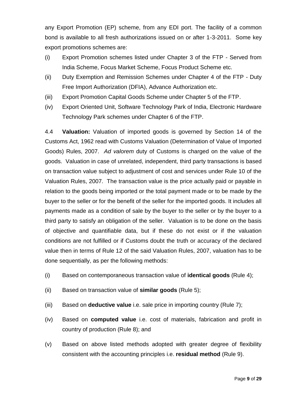any Export Promotion (EP) scheme, from any EDI port. The facility of a common bond is available to all fresh authorizations issued on or after 1-3-2011. Some key export promotions schemes are:

- (i) Export Promotion schemes listed under Chapter 3 of the FTP Served from India Scheme, Focus Market Scheme, Focus Product Scheme etc.
- (ii) Duty Exemption and Remission Schemes under Chapter 4 of the FTP Duty Free Import Authorization (DFIA), Advance Authorization etc.
- (iii) Export Promotion Capital Goods Scheme under Chapter 5 of the FTP.
- (iv) Export Oriented Unit, Software Technology Park of India, Electronic Hardware Technology Park schemes under Chapter 6 of the FTP.

4.4 **Valuation:** Valuation of imported goods is governed by Section 14 of the Customs Act, 1962 read with Customs Valuation (Determination of Value of Imported Goods) Rules, 2007. *Ad valorem* duty of Customs is charged on the value of the goods. Valuation in case of unrelated, independent, third party transactions is based on transaction value subject to adjustment of cost and services under Rule 10 of the Valuation Rules, 2007. The transaction value is the price actually paid or payable in relation to the goods being imported or the total payment made or to be made by the buyer to the seller or for the benefit of the seller for the imported goods. It includes all payments made as a condition of sale by the buyer to the seller or by the buyer to a third party to satisfy an obligation of the seller. Valuation is to be done on the basis of objective and quantifiable data, but if these do not exist or if the valuation conditions are not fulfilled or if Customs doubt the truth or accuracy of the declared value then in terms of Rule 12 of the said Valuation Rules, 2007, valuation has to be done sequentially, as per the following methods:

- (i) Based on contemporaneous transaction value of **identical goods** (Rule 4);
- (ii) Based on transaction value of **similar goods** (Rule 5);
- (iii) Based on **deductive value** i.e. sale price in importing country (Rule 7);
- (iv) Based on **computed value** i.e. cost of materials, fabrication and profit in country of production (Rule 8); and
- (v) Based on above listed methods adopted with greater degree of flexibility consistent with the accounting principles i.e. **residual method** (Rule 9).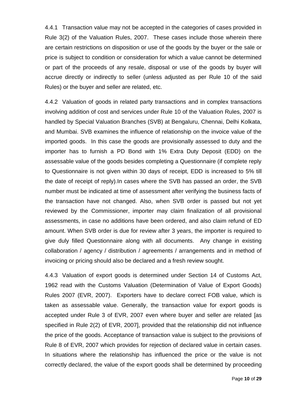4.4.1 Transaction value may not be accepted in the categories of cases provided in Rule 3(2) of the Valuation Rules, 2007. These cases include those wherein there are certain restrictions on disposition or use of the goods by the buyer or the sale or price is subject to condition or consideration for which a value cannot be determined or part of the proceeds of any resale, disposal or use of the goods by buyer will accrue directly or indirectly to seller (unless adjusted as per Rule 10 of the said Rules) or the buyer and seller are related, etc.

4.4.2 Valuation of goods in related party transactions and in complex transactions involving addition of cost and services under Rule 10 of the Valuation Rules, 2007 is handled by Special Valuation Branches (SVB) at Bengaluru, Chennai, Delhi Kolkata, and Mumbai. SVB examines the influence of relationship on the invoice value of the imported goods. In this case the goods are provisionally assessed to duty and the importer has to furnish a PD Bond with 1% Extra Duty Deposit (EDD) on the assessable value of the goods besides completing a Questionnaire (if complete reply to Questionnaire is not given within 30 days of receipt, EDD is increased to 5% till the date of receipt of reply).In cases where the SVB has passed an order, the SVB number must be indicated at time of assessment after verifying the business facts of the transaction have not changed. Also, when SVB order is passed but not yet reviewed by the Commissioner, importer may claim finalization of all provisional assessments, in case no additions have been ordered, and also claim refund of ED amount. When SVB order is due for review after 3 years, the importer is required to give duly filled Questionnaire along with all documents. Any change in existing collaboration / agency / distribution / agreements / arrangements and in method of invoicing or pricing should also be declared and a fresh review sought.

4.4.3 Valuation of export goods is determined under Section 14 of Customs Act, 1962 read with the Customs Valuation (Determination of Value of Export Goods) Rules 2007 (EVR, 2007). Exporters have to declare correct FOB value, which is taken as assessable value. Generally, the transaction value for export goods is accepted under Rule 3 of EVR, 2007 even where buyer and seller are related [as specified in Rule 2(2) of EVR, 2007], provided that the relationship did not influence the price of the goods. Acceptance of transaction value is subject to the provisions of Rule 8 of EVR, 2007 which provides for rejection of declared value in certain cases. In situations where the relationship has influenced the price or the value is not correctly declared, the value of the export goods shall be determined by proceeding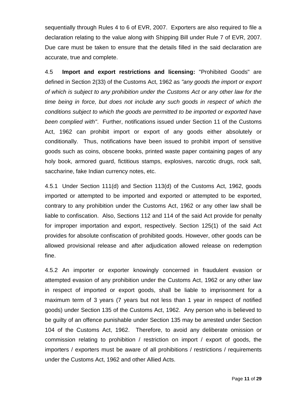sequentially through Rules 4 to 6 of EVR, 2007. Exporters are also required to file a declaration relating to the value along with Shipping Bill under Rule 7 of EVR, 2007. Due care must be taken to ensure that the details filled in the said declaration are accurate, true and complete.

4.5 **Import and export restrictions and licensing:** "Prohibited Goods" are defined in Section 2(33) of the Customs Act, 1962 as *"any goods the import or export of which is subject to any prohibition under the Customs Act or any other law for the time being in force, but does not include any such goods in respect of which the conditions subject to which the goods are permitted to be imported or exported have been complied with"*. Further, notifications issued under Section 11 of the Customs Act, 1962 can prohibit import or export of any goods either absolutely or conditionally. Thus, notifications have been issued to prohibit import of sensitive goods such as coins, obscene books, printed waste paper containing pages of any holy book, armored guard, fictitious stamps, explosives, narcotic drugs, rock salt, saccharine, fake Indian currency notes, etc.

4.5.1 Under Section 111(d) and Section 113(d) of the Customs Act, 1962, goods imported or attempted to be imported and exported or attempted to be exported, contrary to any prohibition under the Customs Act, 1962 or any other law shall be liable to confiscation. Also, Sections 112 and 114 of the said Act provide for penalty for improper importation and export, respectively. Section 125(1) of the said Act provides for absolute confiscation of prohibited goods. However, other goods can be allowed provisional release and after adjudication allowed release on redemption fine.

4.5.2 An importer or exporter knowingly concerned in fraudulent evasion or attempted evasion of any prohibition under the Customs Act, 1962 or any other law in respect of imported or export goods, shall be liable to imprisonment for a maximum term of 3 years (7 years but not less than 1 year in respect of notified goods) under Section 135 of the Customs Act, 1962. Any person who is believed to be guilty of an offence punishable under Section 135 may be arrested under Section 104 of the Customs Act, 1962. Therefore, to avoid any deliberate omission or commission relating to prohibition / restriction on import / export of goods, the importers / exporters must be aware of all prohibitions / restrictions / requirements under the Customs Act, 1962 and other Allied Acts.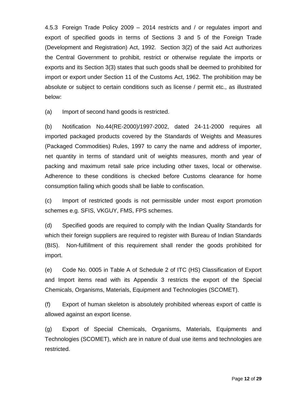4.5.3 Foreign Trade Policy 2009 – 2014 restricts and / or regulates import and export of specified goods in terms of Sections 3 and 5 of the Foreign Trade (Development and Registration) Act, 1992. Section 3(2) of the said Act authorizes the Central Government to prohibit, restrict or otherwise regulate the imports or exports and its Section 3(3) states that such goods shall be deemed to prohibited for import or export under Section 11 of the Customs Act, 1962. The prohibition may be absolute or subject to certain conditions such as license / permit etc., as illustrated below:

(a) Import of second hand goods is restricted.

(b) Notification No.44(RE-2000)/1997-2002, dated 24-11-2000 requires all imported packaged products covered by the Standards of Weights and Measures (Packaged Commodities) Rules, 1997 to carry the name and address of importer, net quantity in terms of standard unit of weights measures, month and year of packing and maximum retail sale price including other taxes, local or otherwise. Adherence to these conditions is checked before Customs clearance for home consumption failing which goods shall be liable to confiscation.

(c) Import of restricted goods is not permissible under most export promotion schemes e.g. SFIS, VKGUY, FMS, FPS schemes.

(d) Specified goods are required to comply with the Indian Quality Standards for which their foreign suppliers are required to register with Bureau of Indian Standards (BIS). Non-fulfillment of this requirement shall render the goods prohibited for import.

(e) Code No. 0005 in Table A of Schedule 2 of ITC (HS) Classification of Export and Import items read with its Appendix 3 restricts the export of the Special Chemicals, Organisms, Materials, Equipment and Technologies (SCOMET).

(f) Export of human skeleton is absolutely prohibited whereas export of cattle is allowed against an export license.

(g) Export of Special Chemicals, Organisms, Materials, Equipments and Technologies (SCOMET), which are in nature of dual use items and technologies are restricted.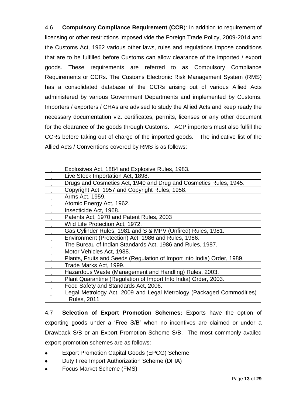4.6 **Compulsory Compliance Requirement (CCR**): In addition to requirement of licensing or other restrictions imposed vide the Foreign Trade Policy, 2009-2014 and the Customs Act, 1962 various other laws, rules and regulations impose conditions that are to be fulfilled before Customs can allow clearance of the imported / export goods. These requirements are referred to as Compulsory Compliance Requirements or CCRs. The Customs Electronic Risk Management System (RMS) has a consolidated database of the CCRs arising out of various Allied Acts administered by various Government Departments and implemented by Customs. Importers / exporters / CHAs are advised to study the Allied Acts and keep ready the necessary documentation viz. certificates, permits, licenses or any other document for the clearance of the goods through Customs. ACP importers must also fulfill the CCRs before taking out of charge of the imported goods. The indicative list of the Allied Acts / Conventions covered by RMS is as follows:

| Explosives Act, 1884 and Explosive Rules, 1983.                         |
|-------------------------------------------------------------------------|
| Live Stock Importation Act, 1898.                                       |
| Drugs and Cosmetics Act, 1940 and Drug and Cosmetics Rules, 1945.       |
| Copyright Act, 1957 and Copyright Rules, 1958.                          |
| Arms Act, 1959.                                                         |
| Atomic Energy Act, 1962.                                                |
| Insecticide Act, 1968.                                                  |
| Patents Act, 1970 and Patent Rules, 2003                                |
| Wild Life Protection Act, 1972.                                         |
| Gas Cylinder Rules, 1981 and S & MPV (Unfired) Rules, 1981.             |
| Environment (Protection) Act, 1986 and Rules, 1986.                     |
| The Bureau of Indian Standards Act, 1986 and Rules, 1987.               |
| Motor Vehicles Act, 1988.                                               |
| Plants, Fruits and Seeds (Regulation of Import into India) Order, 1989. |
| Trade Marks Act, 1999.                                                  |
| Hazardous Waste (Management and Handling) Rules, 2003.                  |
| Plant Quarantine (Regulation of Import Into India) Order, 2003.         |
| Food Safety and Standards Act, 2006.                                    |
| Legal Metrology Act, 2009 and Legal Metrology (Packaged Commodities)    |
| <b>Rules, 2011</b>                                                      |

4.7 **Selection of Export Promotion Schemes:** Exports have the option of exporting goods under a "Free S/B" when no incentives are claimed or under a Drawback S/B or an Export Promotion Scheme S/B. The most commonly availed export promotion schemes are as follows:

- Export Promotion Capital Goods (EPCG) Scheme
- Duty Free Import Authorization Scheme (DFIA)
- Focus Market Scheme (FMS)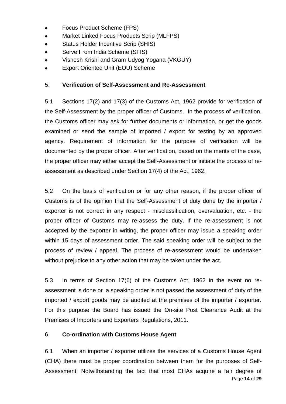- Focus Product Scheme (FPS)
- Market Linked Focus Products Scrip (MLFPS)  $\bullet$
- $\bullet$ Status Holder Incentive Scrip (SHIS)
- Serve From India Scheme (SFIS)  $\bullet$
- Vishesh Krishi and Gram Udyog Yogana (VKGUY)  $\bullet$
- Export Oriented Unit (EOU) Scheme  $\bullet$

#### 5. **Verification of Self-Assessment and Re-Assessment**

5.1 Sections 17(2) and 17(3) of the Customs Act, 1962 provide for verification of the Self-Assessment by the proper officer of Customs. In the process of verification, the Customs officer may ask for further documents or information, or get the goods examined or send the sample of imported / export for testing by an approved agency. Requirement of information for the purpose of verification will be documented by the proper officer. After verification, based on the merits of the case, the proper officer may either accept the Self-Assessment or initiate the process of reassessment as described under Section 17(4) of the Act, 1962.

5.2 On the basis of verification or for any other reason, if the proper officer of Customs is of the opinion that the Self-Assessment of duty done by the importer / exporter is not correct in any respect - misclassification, overvaluation, etc. - the proper officer of Customs may re-assess the duty. If the re-assessment is not accepted by the exporter in writing, the proper officer may issue a speaking order within 15 days of assessment order. The said speaking order will be subject to the process of review / appeal. The process of re-assessment would be undertaken without prejudice to any other action that may be taken under the act.

5.3 In terms of Section 17(6) of the Customs Act, 1962 in the event no reassessment is done or a speaking order is not passed the assessment of duty of the imported / export goods may be audited at the premises of the importer / exporter. For this purpose the Board has issued the On-site Post Clearance Audit at the Premises of Importers and Exporters Regulations, 2011.

#### 6. **Co-ordination with Customs House Agent**

Page **14** of **29** 6.1 When an importer / exporter utilizes the services of a Customs House Agent (CHA) there must be proper coordination between them for the purposes of Self-Assessment. Notwithstanding the fact that most CHAs acquire a fair degree of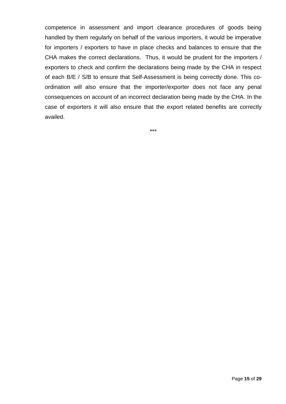competence in assessment and import clearance procedures of goods being handled by them regularly on behalf of the various importers, it would be imperative for importers / exporters to have in place checks and balances to ensure that the CHA makes the correct declarations. Thus, it would be prudent for the importers / exporters to check and confirm the declarations being made by the CHA in respect of each B/E / S/B to ensure that Self-Assessment is being correctly done. This coordination will also ensure that the importer/exporter does not face any penal consequences on account of an incorrect declaration being made by the CHA. In the case of exporters it will also ensure that the export related benefits are correctly availed.

\*\*\*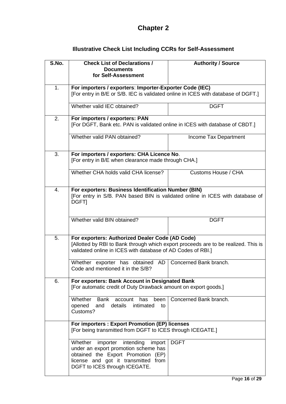# **Chapter 2**

| <b>Illustrative Check List Including CCRs for Self-Assessment</b> |  |
|-------------------------------------------------------------------|--|
|-------------------------------------------------------------------|--|

| S.No.                                                                                                                   | <b>Check List of Declarations /</b><br><b>Documents</b><br>for Self-Assessment                                                                                                                         | <b>Authority / Source</b> |  |
|-------------------------------------------------------------------------------------------------------------------------|--------------------------------------------------------------------------------------------------------------------------------------------------------------------------------------------------------|---------------------------|--|
| 1.                                                                                                                      | For importers / exporters: Importer-Exporter Code (IEC)<br>[For entry in B/E or S/B. IEC is validated online in ICES with database of DGFT.]                                                           |                           |  |
|                                                                                                                         | Whether valid IEC obtained?                                                                                                                                                                            | <b>DGFT</b>               |  |
| 2.                                                                                                                      | For importers / exporters: PAN<br>[For DGFT, Bank etc. PAN is validated online in ICES with database of CBDT.]                                                                                         |                           |  |
|                                                                                                                         | Whether valid PAN obtained?                                                                                                                                                                            | Income Tax Department     |  |
| 3.                                                                                                                      | For importers / exporters: CHA Licence No.<br>[For entry in B/E when clearance made through CHA.]                                                                                                      |                           |  |
|                                                                                                                         | Whether CHA holds valid CHA license?                                                                                                                                                                   | Customs House / CHA       |  |
| 4.                                                                                                                      | For exporters: Business Identification Number (BIN)<br>[For entry in S/B. PAN based BIN is validated online in ICES with database of<br>DGFT]                                                          |                           |  |
|                                                                                                                         | Whether valid BIN obtained?                                                                                                                                                                            | <b>DGFT</b>               |  |
| 5.                                                                                                                      | For exporters: Authorized Dealer Code (AD Code)<br>[Allotted by RBI to Bank through which export proceeds are to be realized. This is<br>validated online in ICES with database of AD Codes of RBI.]   |                           |  |
|                                                                                                                         | Whether exporter has obtained AD<br>Code and mentioned it in the S/B?                                                                                                                                  | Concerned Bank branch.    |  |
| For exporters: Bank Account in Designated Bank<br>6.<br>[For automatic credit of Duty Drawback amount on export goods.] |                                                                                                                                                                                                        |                           |  |
|                                                                                                                         | Whether<br><b>Bank</b><br>has<br>been<br>account<br>details<br>opened<br>and<br>intimated<br>to<br>Customs?                                                                                            | Concerned Bank branch.    |  |
|                                                                                                                         | For importers : Export Promotion (EP) licenses<br>[For being transmitted from DGFT to ICES through ICEGATE.]                                                                                           |                           |  |
|                                                                                                                         | Whether<br>importer<br>intending<br>import<br>under an export promotion scheme has<br>obtained the Export Promotion<br>(EP)<br>license and got it transmitted<br>from<br>DGFT to ICES through ICEGATE. | <b>DGFT</b>               |  |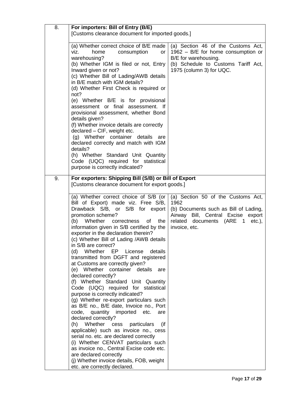| 8. | For importers: Bill of Entry (B/E)                                                                                                                                                                                                                                                                                                                                                                                                                                                                                                                 |                                                                                                                                                                     |  |
|----|----------------------------------------------------------------------------------------------------------------------------------------------------------------------------------------------------------------------------------------------------------------------------------------------------------------------------------------------------------------------------------------------------------------------------------------------------------------------------------------------------------------------------------------------------|---------------------------------------------------------------------------------------------------------------------------------------------------------------------|--|
|    | [Customs clearance document for imported goods.]                                                                                                                                                                                                                                                                                                                                                                                                                                                                                                   |                                                                                                                                                                     |  |
|    |                                                                                                                                                                                                                                                                                                                                                                                                                                                                                                                                                    |                                                                                                                                                                     |  |
|    | (a) Whether correct choice of B/E made<br>consumption<br>home<br>viz.<br>or<br>warehousing?<br>(b) Whether IGM is filed or not, Entry<br>Inward given or not?<br>(c) Whether Bill of Lading/AWB details<br>in B/E match with IGM details?<br>(d) Whether First Check is required or<br>not?<br>(e) Whether B/E is for provisional<br>assessment or final assessment. If<br>provisional assessment, whether Bond<br>details given?<br>(f) Whether invoice details are correctly<br>declared - CIF, weight etc.<br>(g) Whether container details are | (a) Section 46 of the Customs Act,<br>1962 - B/E for home consumption or<br>B/E for warehousing.<br>(b) Schedule to Customs Tariff Act,<br>1975 (column 3) for UQC. |  |
|    | declared correctly and match with IGM                                                                                                                                                                                                                                                                                                                                                                                                                                                                                                              |                                                                                                                                                                     |  |
|    | details?                                                                                                                                                                                                                                                                                                                                                                                                                                                                                                                                           |                                                                                                                                                                     |  |
|    | (h) Whether Standard Unit Quantity                                                                                                                                                                                                                                                                                                                                                                                                                                                                                                                 |                                                                                                                                                                     |  |
|    | Code (UQC) required for statistical                                                                                                                                                                                                                                                                                                                                                                                                                                                                                                                |                                                                                                                                                                     |  |
|    | purpose is correctly indicated?                                                                                                                                                                                                                                                                                                                                                                                                                                                                                                                    |                                                                                                                                                                     |  |
| 9. | For exporters: Shipping Bill (S/B) or Bill of Export                                                                                                                                                                                                                                                                                                                                                                                                                                                                                               |                                                                                                                                                                     |  |
|    | [Customs clearance document for export goods.]                                                                                                                                                                                                                                                                                                                                                                                                                                                                                                     |                                                                                                                                                                     |  |
|    |                                                                                                                                                                                                                                                                                                                                                                                                                                                                                                                                                    |                                                                                                                                                                     |  |
|    | (a) Whether correct choice of S/B (or<br>Bill of Export) made viz. Free S/B,                                                                                                                                                                                                                                                                                                                                                                                                                                                                       | (a) Section 50 of the Customs Act,<br>1962                                                                                                                          |  |
|    | Drawback S/B, or S/B for export                                                                                                                                                                                                                                                                                                                                                                                                                                                                                                                    | (b) Documents such as Bill of Lading,                                                                                                                               |  |
|    | promotion scheme?                                                                                                                                                                                                                                                                                                                                                                                                                                                                                                                                  | Airway Bill, Central Excise<br>export                                                                                                                               |  |
|    | (b) Whether correctness<br>the<br>of                                                                                                                                                                                                                                                                                                                                                                                                                                                                                                               | related documents (ARE 1<br>$etc.$ ),                                                                                                                               |  |
|    | information given in S/B certified by the<br>exporter in the declaration therein?                                                                                                                                                                                                                                                                                                                                                                                                                                                                  | invoice, etc.                                                                                                                                                       |  |
|    | (c) Whether Bill of Lading /AWB details                                                                                                                                                                                                                                                                                                                                                                                                                                                                                                            |                                                                                                                                                                     |  |
|    | in S/B are correct?                                                                                                                                                                                                                                                                                                                                                                                                                                                                                                                                |                                                                                                                                                                     |  |
|    | Whether EP<br>License<br>details<br>(d)                                                                                                                                                                                                                                                                                                                                                                                                                                                                                                            |                                                                                                                                                                     |  |
|    | transmitted from DGFT and registered                                                                                                                                                                                                                                                                                                                                                                                                                                                                                                               |                                                                                                                                                                     |  |
|    | at Customs are correctly given?<br>(e) Whether container details are                                                                                                                                                                                                                                                                                                                                                                                                                                                                               |                                                                                                                                                                     |  |
|    | declared correctly?                                                                                                                                                                                                                                                                                                                                                                                                                                                                                                                                |                                                                                                                                                                     |  |
|    | (f) Whether Standard Unit Quantity                                                                                                                                                                                                                                                                                                                                                                                                                                                                                                                 |                                                                                                                                                                     |  |
|    | Code (UQC) required for statistical<br>purpose is correctly indicated?                                                                                                                                                                                                                                                                                                                                                                                                                                                                             |                                                                                                                                                                     |  |
|    | (g) Whether re-export particulars such                                                                                                                                                                                                                                                                                                                                                                                                                                                                                                             |                                                                                                                                                                     |  |
|    | as B/E no., B/E date, Invoice no., Port                                                                                                                                                                                                                                                                                                                                                                                                                                                                                                            |                                                                                                                                                                     |  |
|    | code, quantity imported etc.<br>are                                                                                                                                                                                                                                                                                                                                                                                                                                                                                                                |                                                                                                                                                                     |  |
|    | declared correctly?                                                                                                                                                                                                                                                                                                                                                                                                                                                                                                                                |                                                                                                                                                                     |  |
|    | (h) Whether cess<br>particulars<br>(if<br>applicable) such as invoice no., cess                                                                                                                                                                                                                                                                                                                                                                                                                                                                    |                                                                                                                                                                     |  |
|    | serial no. etc. are declared correctly                                                                                                                                                                                                                                                                                                                                                                                                                                                                                                             |                                                                                                                                                                     |  |
|    | (i) Whether CENVAT particulars such                                                                                                                                                                                                                                                                                                                                                                                                                                                                                                                |                                                                                                                                                                     |  |
|    | as invoice no., Central Excise code etc.                                                                                                                                                                                                                                                                                                                                                                                                                                                                                                           |                                                                                                                                                                     |  |
|    | are declared correctly<br>(j) Whether invoice details, FOB, weight                                                                                                                                                                                                                                                                                                                                                                                                                                                                                 |                                                                                                                                                                     |  |
|    | etc. are correctly declared.                                                                                                                                                                                                                                                                                                                                                                                                                                                                                                                       |                                                                                                                                                                     |  |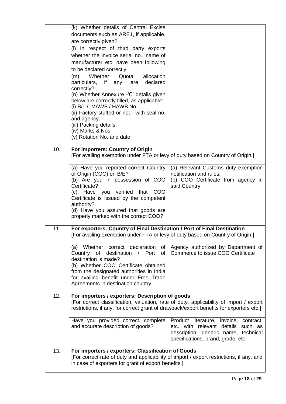|     | (k) Whether details of Central Excise                                                    |                                                               |
|-----|------------------------------------------------------------------------------------------|---------------------------------------------------------------|
|     | documents such as ARE1, if applicable,                                                   |                                                               |
|     | are correctly given?                                                                     |                                                               |
|     | (I) In respect of third party exports                                                    |                                                               |
|     | whether the invoice serial no., name of                                                  |                                                               |
|     | manufacturer etc. have been following                                                    |                                                               |
|     | to be declared correctly                                                                 |                                                               |
|     | Whether<br>Quota<br>(m)<br>allocation                                                    |                                                               |
|     | particulars, if any,<br>declared<br>are                                                  |                                                               |
|     | correctly?                                                                               |                                                               |
|     | (n) Whether Annexure - 'C' details given                                                 |                                                               |
|     | below are correctly filled, as applicable:                                               |                                                               |
|     | (i) B/L / MAWB / HAWB No.                                                                |                                                               |
|     | (ii) Factory stuffed or not - with seal no.                                              |                                                               |
|     | and agency.                                                                              |                                                               |
|     | (iii) Packing details.<br>(iv) Marks & Nos.                                              |                                                               |
|     | (v) Rotation No. and date.                                                               |                                                               |
|     |                                                                                          |                                                               |
| 10. | For importers: Country of Origin                                                         |                                                               |
|     | [For availing exemption under FTA or levy of duty based on Country of Origin.]           |                                                               |
|     |                                                                                          |                                                               |
|     | (a) Have you reported correct Country                                                    | (a) Relevant Customs duty exemption                           |
|     | of Origin (COO) on B/E?<br>(b) Are you in possession of COO                              | notification and rules.<br>(b) COO Certificate from agency in |
|     | Certificate?                                                                             | said Country.                                                 |
|     | (c) Have you verified that<br><b>COO</b>                                                 |                                                               |
|     | Certificate is issued by the competent                                                   |                                                               |
|     | authority?                                                                               |                                                               |
|     | (d) Have you assured that goods are                                                      |                                                               |
|     | properly marked with the correct COO?                                                    |                                                               |
| 11. | For exporters: Country of Final Destination / Port of Final Destination                  |                                                               |
|     | [For availing exemption under FTA or levy of duty based on Country of Origin.]           |                                                               |
|     |                                                                                          |                                                               |
|     | Whether correct declaration<br>of<br>(a)                                                 | Agency authorized by Department of                            |
|     | Country of destination<br>of<br>$\sqrt{2}$<br>Port                                       | Commerce to issue COO Certificate                             |
|     | destination is made?                                                                     |                                                               |
|     | (b) Whether COO Certificate obtained<br>from the designated authorities in India         |                                                               |
|     | for availing benefit under Free Trade                                                    |                                                               |
|     | Agreements in destination country.                                                       |                                                               |
|     |                                                                                          |                                                               |
| 12. | For importers / exporters: Description of goods                                          |                                                               |
|     | [For correct classification, valuation, rate of duty, applicability of import / export   |                                                               |
|     | restrictions, if any, for correct grant of drawback/export benefits for exporters etc.]  |                                                               |
|     | Have you provided correct, complete                                                      | Product literature, invoice,<br>contract,                     |
|     | and accurate description of goods?                                                       | etc. with relevant details such as                            |
|     |                                                                                          | description, generic name, technical                          |
|     |                                                                                          | specifications, brand, grade, etc.                            |
|     |                                                                                          |                                                               |
| 13. | For importers / exporters: Classification of Goods                                       |                                                               |
|     | [For correct rate of duty and applicability of import / export restrictions, if any, and |                                                               |
|     | in case of exporters for grant of export benefits.]                                      |                                                               |
|     |                                                                                          |                                                               |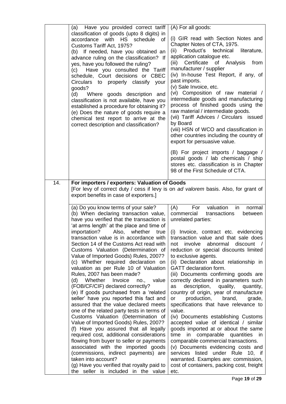|     | (a) Have you provided correct tariff<br>classification of goods (upto 8 digits) in<br>accordance with<br>HS schedule<br><b>of</b><br>Customs Tariff Act, 1975?<br>(b) If needed, have you obtained an<br>advance ruling on the classification? If<br>yes, have you followed the ruling?<br>Have you consulted the Tariff<br>(c)<br>schedule, Court decisions or CBEC<br>Circulars to properly classify<br>your<br>goods?<br>(d)<br>Where goods description and<br>classification is not available, have you<br>established a procedure for obtaining it?<br>(e) Does the nature of goods require a<br>chemical test report to arrive at the<br>correct description and classification?                                                                                                                                                                                                                                                                                                                                                                                                                                                                                           | (A) For all goods:<br>(i) GIR read with Section Notes and<br>Chapter Notes of CTA, 1975.<br>Product's<br>technical<br>(ii)<br>literature,<br>application catalogue etc.<br>Certificate<br>of Analysis<br>(iii)<br>from<br>manufacturer / supplier<br>(iv) In-house Test Report, if any, of<br>past imports.<br>(v) Sale Invoice, etc.<br>(vi) Composition of raw material /<br>intermediate goods and manufacturing<br>process of finished goods using the<br>raw material / intermediate goods.<br>(vii) Tariff Advices / Circulars issued<br>by Board<br>(viii) HSN of WCO and classification in<br>other countries including the country of<br>export for persuasive value.<br>(B) For project imports / baggage /<br>postal goods / lab chemicals / ship<br>stores etc. classification is in Chapter                                                                                                                                                                                                                       |
|-----|----------------------------------------------------------------------------------------------------------------------------------------------------------------------------------------------------------------------------------------------------------------------------------------------------------------------------------------------------------------------------------------------------------------------------------------------------------------------------------------------------------------------------------------------------------------------------------------------------------------------------------------------------------------------------------------------------------------------------------------------------------------------------------------------------------------------------------------------------------------------------------------------------------------------------------------------------------------------------------------------------------------------------------------------------------------------------------------------------------------------------------------------------------------------------------|--------------------------------------------------------------------------------------------------------------------------------------------------------------------------------------------------------------------------------------------------------------------------------------------------------------------------------------------------------------------------------------------------------------------------------------------------------------------------------------------------------------------------------------------------------------------------------------------------------------------------------------------------------------------------------------------------------------------------------------------------------------------------------------------------------------------------------------------------------------------------------------------------------------------------------------------------------------------------------------------------------------------------------|
| 14. | For importers / exporters: Valuation of Goods                                                                                                                                                                                                                                                                                                                                                                                                                                                                                                                                                                                                                                                                                                                                                                                                                                                                                                                                                                                                                                                                                                                                    | 98 of the First Schedule of CTA.                                                                                                                                                                                                                                                                                                                                                                                                                                                                                                                                                                                                                                                                                                                                                                                                                                                                                                                                                                                               |
|     | [For levy of correct duty / cess if levy is on ad valorem basis. Also, for grant of<br>export benefits in case of exporters.]                                                                                                                                                                                                                                                                                                                                                                                                                                                                                                                                                                                                                                                                                                                                                                                                                                                                                                                                                                                                                                                    |                                                                                                                                                                                                                                                                                                                                                                                                                                                                                                                                                                                                                                                                                                                                                                                                                                                                                                                                                                                                                                |
|     | (a) Do you know terms of your sale?<br>(b) When declaring transaction value,<br>have you verified that the transaction is<br>'at arms length' at the place and time of<br>importation?<br>Also,<br>whether<br>true<br>transaction value is in accordance with I<br>Section 14 of the Customs Act read with<br>Customs Valuation (Determination of<br>Value of Imported Goods) Rules, 2007?<br>(c) Whether required declaration on<br>valuation as per Rule 10 of Valuation<br>Rules, 2007 has been made?<br>value<br>Whether<br>Invoice<br>(d)<br>no.<br>(FOB/CF/CIF) declared correctly?<br>(e) If goods purchased from a 'related<br>seller' have you reported this fact and<br>assured that the value declared meets<br>one of the related party tests in terms of<br>Customs Valuation (Determination of<br>Value of Imported Goods) Rules, 2007?<br>(f) Have you assured that all legally<br>required cost, additional considerations<br>flowing from buyer to seller or payments<br>associated with the imported goods<br>(commissions, indirect payments) are<br>taken into account?<br>(g) Have you verified that royalty paid to<br>the seller is included in the value | (A)<br>For<br>valuation<br>in<br>normal<br>commercial<br>transactions<br>between<br>unrelated parties:<br>Invoice, contract etc. evidencing<br>(i)<br>transaction value and that sale does<br>involve abnormal<br>$discount$ /<br>not<br>reduction or special discounts limited<br>to exclusive agents.<br>(ii) Declaration about relationship in<br>GATT declaration form.<br>(iii) Documents confirming goods are<br>correctly declared in parameters such<br>description,<br>quality,<br>quantity,<br>as<br>country of origin, year of manufacture<br>production,<br>brand,<br>or<br>grade,<br>specifications that have relevance to<br>value.<br>(iv) Documents establishing Customs<br>accepted value of identical / similar<br>goods imported at or about the same<br>time in comparable quantities<br>in<br>comparable commercial transactions.<br>(v) Documents evidencing costs and<br>services listed under Rule 10, if<br>warranted. Examples are: commission,<br>cost of containers, packing cost, freight<br>etc. |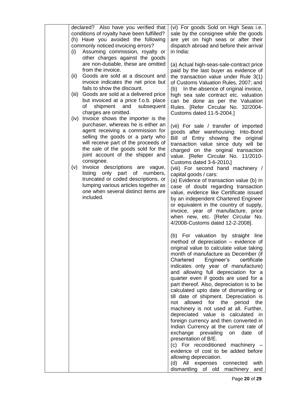| declared? Also have you verified that<br>conditions of royalty have been fulfilled?<br>(h) Have you avoided the following<br>commonly noticed invoicing errors?<br>Assuming commission, royalty or<br>(i)<br>other charges against the goods                                                                                                                                                                                                                                                                   | (vi) For goods Sold on High Seas i.e.<br>sale by the consignee while the goods<br>are yet on high seas or after their<br>dispatch abroad and before their arrival<br>in India:                                                                                                                                                                                                                                                                                                                                                                                                                                                                                                                                                                                                                                                                                                                                                     |
|----------------------------------------------------------------------------------------------------------------------------------------------------------------------------------------------------------------------------------------------------------------------------------------------------------------------------------------------------------------------------------------------------------------------------------------------------------------------------------------------------------------|------------------------------------------------------------------------------------------------------------------------------------------------------------------------------------------------------------------------------------------------------------------------------------------------------------------------------------------------------------------------------------------------------------------------------------------------------------------------------------------------------------------------------------------------------------------------------------------------------------------------------------------------------------------------------------------------------------------------------------------------------------------------------------------------------------------------------------------------------------------------------------------------------------------------------------|
| are non-dutiable, these are omitted<br>from the invoice.<br>Goods are sold at a discount and<br>(ii)<br>invoice indicates the net price but<br>fails to show the discount.<br>Goods are sold at a delivered price<br>(iii)<br>but invoiced at a price f.o.b. place<br>and<br>subsequent<br>shipment<br>of<br>charges are omitted.                                                                                                                                                                              | (a) Actual high-seas-sale-contract price<br>paid by the last buyer as evidence of<br>the transaction value under Rule 3(1)<br>of Customs Valuation Rules, 2007; and<br>In the absence of original invoice,<br>(b)<br>high sea sale contract etc. valuation<br>can be done as per the Valuation<br>Rules. [Refer Circular No. 32/2004-<br>Customs dated 11-5-2004.]                                                                                                                                                                                                                                                                                                                                                                                                                                                                                                                                                                 |
| Invoice shows the importer is the<br>(iv)<br>purchaser, whereas he is either an<br>agent receiving a commission for<br>selling the goods or a party who<br>will receive part of the proceeds of<br>the sale of the goods sold for the<br>joint account of the shipper and<br>consignee.<br>Invoice descriptions are vague,<br>(v)<br>numbers,<br>only part<br>of<br>listing<br>truncated or coded descriptions, or<br>lumping various articles together as<br>one when several distinct items are<br>included. | (vii) For sale / transfer of imported<br>goods after warehousing: Into-Bond<br>Bill of Entry showing the original<br>transaction value since duty will be<br>charged on the original transaction<br>value. [Refer Circular No. 11/2010-<br>Customs dated 3-6-2010.]<br>(viii) For second hand machinery /<br>capital goods / cars:<br>(a) Evidence of transaction value (b) In<br>case of doubt regarding transaction<br>value, evidence like Certificate issued<br>by an independent Chartered Engineer<br>or equivalent in the country of supply,<br>invoice, year of manufacture, price<br>when new, etc. [Refer Circular No.<br>4/2008-Customs dated 12-2-2008].                                                                                                                                                                                                                                                               |
|                                                                                                                                                                                                                                                                                                                                                                                                                                                                                                                | (b) For valuation by straight line<br>method of depreciation – evidence of<br>original value to calculate value taking<br>month of manufacture as December (if<br>Chartered Engineer's<br>certificate<br>indicates only year of manufacture)<br>and allowing full depreciation for a<br>quarter even if goods are used for a<br>part thereof. Also, depreciation is to be<br>calculated upto date of dismantling or<br>till date of shipment. Depreciation is<br>allowed for the period<br>the<br>not<br>machinery is not used at all. Further,<br>depreciated value is calculated in<br>foreign currency and then converted in<br>Indian Currency at the current rate of<br>exchange prevailing<br>date<br>on<br>οf<br>presentation of B/E.<br>(c) For reconditioned machinery -<br>evidence of cost to be added before<br>allowing depreciation.<br>(d) All expenses<br>connected<br>with<br>dismantling of old machinery<br>and |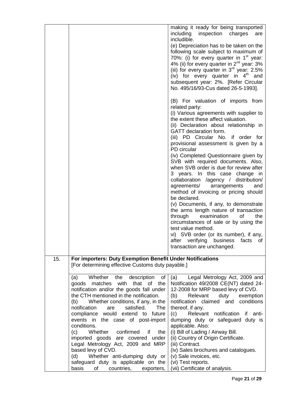|     |                                                           | making it ready for being transported                                         |
|-----|-----------------------------------------------------------|-------------------------------------------------------------------------------|
|     |                                                           | including inspection charges<br>are                                           |
|     |                                                           | includible.                                                                   |
|     |                                                           | (e) Depreciation has to be taken on the                                       |
|     |                                                           | following scale subject to maximum of                                         |
|     |                                                           | 70%: (i) for every quarter in $1st$ year:                                     |
|     |                                                           | 4% (ii) for every quarter in $2^{nd}$ year: 3%                                |
|     |                                                           | (iii) for every quarter in $3^{rd}$ year: 2.5%                                |
|     |                                                           | (iv) for every quarter in $4th$ and                                           |
|     |                                                           | subsequent year: 2%. [Refer Circular                                          |
|     |                                                           | No. 495/16/93-Cus dated 26-5-1993].                                           |
|     |                                                           |                                                                               |
|     |                                                           | (B) For valuation of imports from                                             |
|     |                                                           | related party:                                                                |
|     |                                                           | (i) Various agreements with supplier to                                       |
|     |                                                           | the extent these affect valuation.                                            |
|     |                                                           | (ii) Declaration about relationship in                                        |
|     |                                                           | GATT declaration form.                                                        |
|     |                                                           | (iii) PD Circular No. if order for                                            |
|     |                                                           | provisional assessment is given by a                                          |
|     |                                                           | PD circular                                                                   |
|     |                                                           | (iv) Completed Questionnaire given by                                         |
|     |                                                           | SVB with required documents. Also,                                            |
|     |                                                           | when SVB order is due for review after                                        |
|     |                                                           | 3 years. In this case change in                                               |
|     |                                                           | collaboration /agency / distribution/                                         |
|     |                                                           | agreements/ arrangements<br>and                                               |
|     |                                                           | method of invoicing or pricing should                                         |
|     |                                                           | be declared.                                                                  |
|     |                                                           | (v) Documents, if any, to demonstrate                                         |
|     |                                                           | the arms length nature of transaction                                         |
|     |                                                           | through<br>examination<br>of<br>the                                           |
|     |                                                           | circumstances of sale or by using the                                         |
|     |                                                           | test value method.                                                            |
|     |                                                           | vi) SVB order (or its number), if any,                                        |
|     |                                                           | verifying<br>after<br>business<br>facts<br>of                                 |
|     |                                                           | transaction are unchanged.                                                    |
|     |                                                           |                                                                               |
| 15. | For importers: Duty Exemption Benefit Under Notifications |                                                                               |
|     | [For determining effective Customs duty payable.]         |                                                                               |
|     | Whether the description<br>οf                             |                                                                               |
|     | (a)<br>goods matches with that of the                     | Legal Metrology Act, 2009 and<br>(a)<br>Notification 49/2008 CE(NT) dated 24- |
|     | notification and/or the goods fall under                  | 12-2008 for MRP based levy of CVD.                                            |
|     | the CTH mentioned in the notification.                    | (b)<br>Relevant<br>duty<br>exemption                                          |
|     | Whether conditions, if any, in the<br>(b)                 | notification<br>claimed and<br>conditions                                     |
|     | satisfied.<br>notification<br>The<br>are                  | thereof, if any.                                                              |
|     | compliance would extend to future                         | Relevant notification<br>if anti-<br>(c)                                      |
|     | events in the case of post-import                         | dumping duty or safeguard duty is                                             |
|     | conditions.                                               | applicable. Also:                                                             |
|     | Whether confirmed<br>the<br>(c)<br>if                     | (i) Bill of Lading / Airway Bill.                                             |
|     | imported goods are covered<br>under                       | (ii) Country of Origin Certificate.                                           |
|     | Legal Metrology Act, 2009 and MRP                         | (iii) Contract.                                                               |
|     | based levy of CVD.                                        | (iv) Sales brochures and catalogues.                                          |
|     | Whether anti-dumping duty or<br>(d)                       | (v) Sale invoices, etc.                                                       |
|     | safeguard duty is applicable on the                       | (vi) Test reports.                                                            |
|     | basis<br>of<br>countries,<br>exporters,                   | (vii) Certificate of analysis.                                                |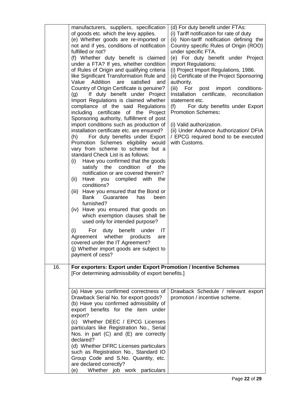|     | manufacturers, suppliers, specification<br>of goods etc. which the levy applies.<br>(e) Whether goods are re-imported or<br>not and if yes, conditions of notification<br>fulfilled or not?<br>(f) Whether duty benefit is claimed<br>under a FTA? If yes, whether condition<br>of Rules of Origin and qualifying criteria<br>like Significant Transformation Rule and<br>Value Addition<br>satisfied<br>are<br>and<br>Country of Origin Certificate is genuine?<br>(g) If duty benefit under Project<br>Import Regulations is claimed whether<br>compliance of the said Regulations<br>including certificate of the Project<br>Sponsoring authority, fulfillment of post<br>import conditions such as production of<br>installation certificate etc. are ensured?<br>For duty benefits under Export<br>(h)<br>Promotion Schemes eligibility would<br>vary from scheme to scheme but a<br>standard Check List is as follows:<br>Have you confirmed that the goods<br>(i)<br>condition<br>satisfy<br>the<br>οf<br>the<br>notification or are covered therein?<br>with<br>(ii)<br>Have you complied<br>the<br>conditions?<br>Have you ensured that the Bond or<br>(iii)<br>Bank Guarantee<br>has<br>been<br>furnished?<br>(iv) Have you ensured that goods on<br>which exemption clauses shall be<br>used only for intended purpose?<br>benefit under<br>(i)<br>For<br>duty<br>IT<br>Agreement whether products<br>are<br>covered under the IT Agreement?<br>(j) Whether import goods are subject to<br>payment of cess? | (d) For duty benefit under FTAs:<br>(i) Tariff notification for rate of duty<br>(ii) Non-tariff notification defining the<br>Country specific Rules of Origin (ROO)<br>under specific FTA.<br>(e) For duty benefit under Project<br>import Regulations:<br>(i) Project Import Regulations, 1986.<br>(ii) Certificate of the Project Sponsoring<br>authority.<br>(iii) For post import conditions-<br>Installation certificate, reconciliation<br>statement etc.<br>For duty benefits under Export<br>(f)<br><b>Promotion Schemes:</b><br>(i) Valid authorization.<br>(ii) Under Advance Authorization/ DFIA<br>/ EPCG required bond to be executed<br>with Customs. |
|-----|------------------------------------------------------------------------------------------------------------------------------------------------------------------------------------------------------------------------------------------------------------------------------------------------------------------------------------------------------------------------------------------------------------------------------------------------------------------------------------------------------------------------------------------------------------------------------------------------------------------------------------------------------------------------------------------------------------------------------------------------------------------------------------------------------------------------------------------------------------------------------------------------------------------------------------------------------------------------------------------------------------------------------------------------------------------------------------------------------------------------------------------------------------------------------------------------------------------------------------------------------------------------------------------------------------------------------------------------------------------------------------------------------------------------------------------------------------------------------------------------------------------------|---------------------------------------------------------------------------------------------------------------------------------------------------------------------------------------------------------------------------------------------------------------------------------------------------------------------------------------------------------------------------------------------------------------------------------------------------------------------------------------------------------------------------------------------------------------------------------------------------------------------------------------------------------------------|
| 16. | For exporters: Export under Export Promotion / Incentive Schemes                                                                                                                                                                                                                                                                                                                                                                                                                                                                                                                                                                                                                                                                                                                                                                                                                                                                                                                                                                                                                                                                                                                                                                                                                                                                                                                                                                                                                                                       |                                                                                                                                                                                                                                                                                                                                                                                                                                                                                                                                                                                                                                                                     |
|     | [For determining admissibility of export benefits.]                                                                                                                                                                                                                                                                                                                                                                                                                                                                                                                                                                                                                                                                                                                                                                                                                                                                                                                                                                                                                                                                                                                                                                                                                                                                                                                                                                                                                                                                    |                                                                                                                                                                                                                                                                                                                                                                                                                                                                                                                                                                                                                                                                     |
|     | (a) Have you confirmed correctness of<br>Drawback Serial No. for export goods?<br>(b) Have you confirmed admissibility of<br>export benefits for the item under<br>export?<br>(c) Whether DEEC / EPCG Licenses<br>particulars like Registration No., Serial<br>Nos. in part $(C)$ and $(E)$ are correctly<br>declared?<br>(d) Whether DFRC Licenses particulars<br>such as Registration No., Standard IO<br>Group Code and S.No. Quantity, etc.<br>are declared correctly?<br>Whether job work particulars<br>(e)                                                                                                                                                                                                                                                                                                                                                                                                                                                                                                                                                                                                                                                                                                                                                                                                                                                                                                                                                                                                      | Drawback Schedule / relevant export<br>promotion / incentive scheme.                                                                                                                                                                                                                                                                                                                                                                                                                                                                                                                                                                                                |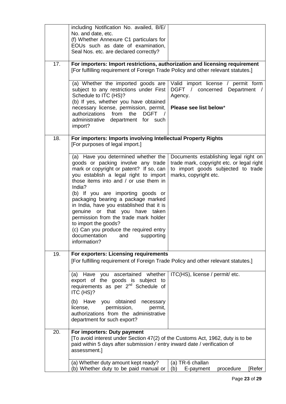|     | including Notification No. availed, B/E/<br>No. and date, etc.<br>(f) Whether Annexure C1 particulars for<br>EOUs such as date of examination,                                                                                                                                                                                                                                                                                                                                                                                              |                                                                                                                                                   |
|-----|---------------------------------------------------------------------------------------------------------------------------------------------------------------------------------------------------------------------------------------------------------------------------------------------------------------------------------------------------------------------------------------------------------------------------------------------------------------------------------------------------------------------------------------------|---------------------------------------------------------------------------------------------------------------------------------------------------|
|     | Seal Nos. etc. are declared correctly?                                                                                                                                                                                                                                                                                                                                                                                                                                                                                                      |                                                                                                                                                   |
| 17. | For importers: Import restrictions, authorization and licensing requirement<br>[For fulfilling requirement of Foreign Trade Policy and other relevant statutes.]                                                                                                                                                                                                                                                                                                                                                                            |                                                                                                                                                   |
|     | (a) Whether the imported goods are<br>subject to any restrictions under First<br>Schedule to ITC (HS)?<br>(b) If yes, whether you have obtained                                                                                                                                                                                                                                                                                                                                                                                             | Valid import license / permit form<br>DGFT / concerned<br>Department /<br>Agency.                                                                 |
|     | necessary license, permission, permit,<br>authorizations<br>from<br>the<br><b>DGFT</b><br>administrative department for such<br>import?                                                                                                                                                                                                                                                                                                                                                                                                     | Please see list below*                                                                                                                            |
| 18. | For importers: Imports involving Intellectual Property Rights<br>[For purposes of legal import.]                                                                                                                                                                                                                                                                                                                                                                                                                                            |                                                                                                                                                   |
|     | (a) Have you determined whether the<br>goods or packing involve any trade<br>mark or copyright or patent? If so, can<br>you establish a legal right to import<br>those items into and / or use them in<br>India?<br>(b) If you are importing goods or<br>packaging bearing a package marked<br>in India, have you established that it is<br>genuine or that you have taken<br>permission from the trade mark holder<br>to import the goods?<br>(c) Can you produce the required entry<br>documentation<br>supporting<br>and<br>information? | Documents establishing legal right on<br>trade mark, copyright etc. or legal right<br>to import goods subjected to trade<br>marks, copyright etc. |
| 19. | For exporters: Licensing requirements<br>[For fulfilling requirement of Foreign Trade Policy and other relevant statutes.]                                                                                                                                                                                                                                                                                                                                                                                                                  |                                                                                                                                                   |
|     | you ascertained whether<br>Have<br>(a)<br>export of the goods is subject to<br>requirements as per 2 <sup>nd</sup> Schedule of<br>ITC (HS)?                                                                                                                                                                                                                                                                                                                                                                                                 | ITC(HS), license / permit/ etc.                                                                                                                   |
|     | (b) Have you<br>obtained<br>necessary<br>permission,<br>license,<br>permit,<br>authorizations from the administrative<br>department for such export?                                                                                                                                                                                                                                                                                                                                                                                        |                                                                                                                                                   |
| 20. | For importers: Duty payment<br>[To avoid interest under Section 47(2) of the Customs Act, 1962, duty is to be<br>paid within 5 days after submission / entry inward date / verification of<br>assessment.]                                                                                                                                                                                                                                                                                                                                  |                                                                                                                                                   |
|     | (a) Whether duty amount kept ready?<br>(b) Whether duty to be paid manual or                                                                                                                                                                                                                                                                                                                                                                                                                                                                | (a) TR-6 challan<br>(b)<br>E-payment<br>procedure<br>[Refer                                                                                       |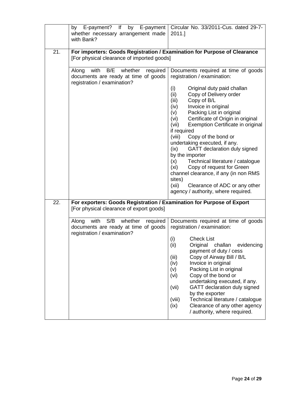|     | E-payment?<br>If<br>by<br>whether necessary arrangement made<br>with Bank?                                             | by E-payment   Circular No. 33/2011-Cus. dated 29-7-<br>2011.]                                                                                                                                                                                                                                                                                                                                                                                                                                                                                                                                      |
|-----|------------------------------------------------------------------------------------------------------------------------|-----------------------------------------------------------------------------------------------------------------------------------------------------------------------------------------------------------------------------------------------------------------------------------------------------------------------------------------------------------------------------------------------------------------------------------------------------------------------------------------------------------------------------------------------------------------------------------------------------|
| 21. | For importers: Goods Registration / Examination for Purpose of Clearance<br>[For physical clearance of imported goods] |                                                                                                                                                                                                                                                                                                                                                                                                                                                                                                                                                                                                     |
|     | with B/E whether<br>required<br>Along<br>documents are ready at time of goods<br>registration / examination?           | Documents required at time of goods<br>registration / examination:<br>(i)<br>Original duty paid challan<br>Copy of Delivery order<br>(ii)<br>(iii)<br>Copy of B/L<br>Invoice in original<br>(iv)<br>Packing List in original<br>(v)<br>Certificate of Origin in original<br>(vi)<br>Exemption Certificate in original<br>(vii)<br>if required<br>(viii)<br>Copy of the bond or<br>undertaking executed, if any.<br>GATT declaration duly signed<br>(ix)<br>by the importer<br>Technical literature / catalogue<br>(x)<br>Copy of request for Green<br>(xi)<br>channel clearance, if any (in non RMS |
|     |                                                                                                                        | sites)<br>(xii)<br>Clearance of ADC or any other<br>agency / authority, where required.                                                                                                                                                                                                                                                                                                                                                                                                                                                                                                             |
| 22. | For exporters: Goods Registration / Examination for Purpose of Export<br>[For physical clearance of export goods]      |                                                                                                                                                                                                                                                                                                                                                                                                                                                                                                                                                                                                     |
|     | with S/B<br>whether<br>Along<br>required<br>documents are ready at time of goods<br>registration / examination?        | Documents required at time of goods<br>registration / examination:<br>(i)<br><b>Check List</b><br>(ii)<br>Original<br>evidencing<br>challan<br>payment of duty / cess<br>Copy of Airway Bill / B/L<br>(iii)<br>Invoice in original<br>(iv)<br>Packing List in original<br>(v)<br>Copy of the bond or<br>(vi)<br>undertaking executed, if any.<br>GATT declaration duly signed<br>(vii)<br>by the exporter<br>Technical literature / catalogue<br>(viii)<br>Clearance of any other agency<br>(ix)<br>/ authority, where required.                                                                    |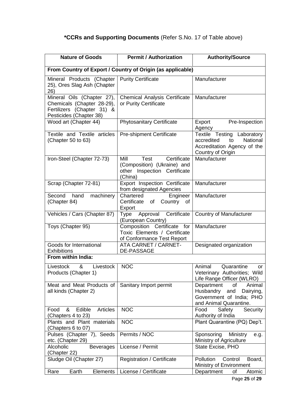## **\*CCRs and Supporting Documents** (Refer S.No. 17 of Table above)

| <b>Nature of Goods</b>                                                                                            | <b>Permit / Authorization</b>                                                                         | <b>Authority/Source</b>                                                                                           |  |
|-------------------------------------------------------------------------------------------------------------------|-------------------------------------------------------------------------------------------------------|-------------------------------------------------------------------------------------------------------------------|--|
| From Country of Export / Country of Origin (as applicable)                                                        |                                                                                                       |                                                                                                                   |  |
| Mineral Products (Chapter<br>25), Ores Slag Ash (Chapter<br>26)                                                   | <b>Purity Certificate</b>                                                                             | Manufacturer                                                                                                      |  |
| Mineral Oils (Chapter 27),<br>Chemicals (Chapter 28-29),<br>Fertilizers (Chapter 31) &<br>Pesticides (Chapter 38) | <b>Chemical Analysis Certificate</b><br>or Purity Certificate                                         | Manufacturer                                                                                                      |  |
| Wood art (Chapter 44)                                                                                             | <b>Phytosanitary Certificate</b>                                                                      | Export<br>Pre-Inspection<br>Agency                                                                                |  |
| Textile and Textile articles<br>(Chapter 50 to 63)                                                                | <b>Pre-shipment Certificate</b>                                                                       | Textile Testing Laboratory<br>National<br>accredited<br>to<br>Accreditation Agency of the<br>Country of Origin    |  |
| Iron-Steel (Chapter 72-73)                                                                                        | Certificate<br>Mill<br>Test<br>(Composition) (Ukraine) and<br>other Inspection Certificate<br>(China) | Manufacturer                                                                                                      |  |
| Scrap (Chapter 72-81)                                                                                             | Export Inspection Certificate<br>from designated Agencies                                             | Manufacturer                                                                                                      |  |
| Second<br>hand<br>machinery<br>(Chapter 84)                                                                       | Chartered<br>Engineer<br>Country<br>Certificate<br>of<br>of<br>Export                                 | Manufacturer                                                                                                      |  |
| Vehicles / Cars (Chapter 87)                                                                                      | Certificate<br>Approval<br>Type<br>(European Country)                                                 | <b>Country of Manufacturer</b>                                                                                    |  |
| Toys (Chapter 95)                                                                                                 | Composition Certificate for<br>Toxic Elements / Certificate<br>of Conformance Test Report             | Manufacturer                                                                                                      |  |
| Goods for International<br><b>Exhibitions</b>                                                                     | <b>ATA CARNET / CARNET-</b><br><b>DE-PASSAGE</b>                                                      | Designated organization                                                                                           |  |
| From within India:                                                                                                |                                                                                                       |                                                                                                                   |  |
| Livestock<br>$\mathcal{R}$<br>Livestock<br>Products (Chapter 1)                                                   | <b>NOC</b>                                                                                            | Animal<br>Quarantine<br>∩r<br>Veterinary Authorities; Wild<br>Life Range Officer (WLRO)                           |  |
| Meat and Meat Products of<br>all kinds (Chapter 2)                                                                | Sanitary Import permit                                                                                | Department<br>of<br>Animal<br>Husbandry<br>Dairying,<br>and<br>Government of India; PHO<br>and Animal Quarantine. |  |
| Edible<br>&<br><b>Articles</b><br>Food<br>(Chapters 4 to 23)                                                      | <b>NOC</b>                                                                                            | Food<br>Safety<br>Security<br>Authority of India                                                                  |  |
| Plants and Plant materials<br>(Chapters 6 to 07)                                                                  | <b>NOC</b>                                                                                            | Plant Quarantine (PQ) Dep't.                                                                                      |  |
| Pulses (Chapter 7), Seeds<br>etc. (Chapter 29)                                                                    | Permits / NOC                                                                                         | Sponsoring<br>Ministry<br>e.g.<br>Ministry of Agriculture                                                         |  |
| Alcoholic<br><b>Beverages</b><br>(Chapter 22)                                                                     | License / Permit                                                                                      | State Excise, PHO                                                                                                 |  |
| Sludge Oil (Chapter 27)                                                                                           | <b>Registration / Certificate</b>                                                                     | Pollution<br>Control<br>Board,<br>Ministry of Environment                                                         |  |
| Earth<br>Rare<br><b>Elements</b>                                                                                  | License / Certificate                                                                                 | Department<br>Atomic<br>οf                                                                                        |  |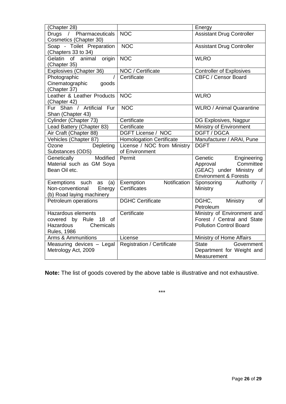| (Chapter 28)                      |                                   | Energy                                   |
|-----------------------------------|-----------------------------------|------------------------------------------|
| Drugs<br>/ Pharmaceuticals        | <b>NOC</b>                        | <b>Assistant Drug Controller</b>         |
| Cosmetics (Chapter 30)            |                                   |                                          |
| Soap - Toilet Preparation         | <b>NOC</b>                        | <b>Assistant Drug Controller</b>         |
| (Chapters 33 to 34)               |                                   |                                          |
| Gelatin<br>of<br>origin<br>animal | <b>NOC</b>                        | <b>WLRO</b>                              |
| (Chapter 35)                      |                                   |                                          |
| Explosives (Chapter 36)           | NOC / Certificate                 | <b>Controller of Explosives</b>          |
| Photographic                      | Certificate                       | CBFC / Censor Board                      |
| Cinematographic<br>goods          |                                   |                                          |
| (Chapter 37)                      |                                   |                                          |
| Leather & Leather Products        | <b>NOC</b>                        | <b>WLRO</b>                              |
| (Chapter 42)                      |                                   |                                          |
| Fur Shan / Artificial Fur         | <b>NOC</b>                        | <b>WLRO / Animal Quarantine</b>          |
| Shan (Chapter 43)                 |                                   |                                          |
| Cylinder (Chapter 73)             | Certificate                       | DG Explosives, Nagpur                    |
| Lead Battery (Chapter 83)         | Certificate                       | Ministry of Environment                  |
| Air Craft (Chapter 88)            | DGFT License / NOC                | <b>DGFT/DGCA</b>                         |
| Vehicles (Chapter 87)             | <b>Homologation Certificate</b>   | Manufacturer / ARAI, Pune                |
| Depleting<br>Ozone                | License / NOC from Ministry       | <b>DGFT</b>                              |
| Substances (ODS)                  | of Environment                    |                                          |
| Modified<br>Genetically           | Permit                            | Genetic<br>Engineering                   |
| Material such as GM Soya          |                                   | Committee<br>Approval                    |
| Bean Oil etc.                     |                                   | (GEAC) under Ministry of                 |
|                                   |                                   | <b>Environment &amp; Forests</b>         |
| Exemptions such<br>(a)<br>as      | Notification<br>Exemption         | Sponsoring<br>Authority /                |
| Non-conventional<br>Energy        | Certificates                      | Ministry                                 |
| (b) Road laying machinery         |                                   |                                          |
| Petroleum operations              | <b>DGHC Certificate</b>           | DGHC,<br>Ministry<br><b>of</b>           |
|                                   |                                   | Petroleum                                |
| Hazardous elements                | Certificate                       | Ministry of Environment and              |
| 18<br>covered by Rule<br>of       |                                   | Forest / Central and State               |
| Hazardous<br>Chemicals            |                                   | <b>Pollution Control Board</b>           |
| <b>Rules, 1986</b>                |                                   |                                          |
|                                   | License                           |                                          |
| Arms & Ammunitions                |                                   | Ministry of Home Affairs<br><b>State</b> |
| Measuring devices - Legal         | <b>Registration / Certificate</b> | Government                               |
| Metrology Act, 2009               |                                   | Department for Weight and                |
|                                   |                                   | Measurement                              |

**Note:** The list of goods covered by the above table is illustrative and not exhaustive.

\*\*\*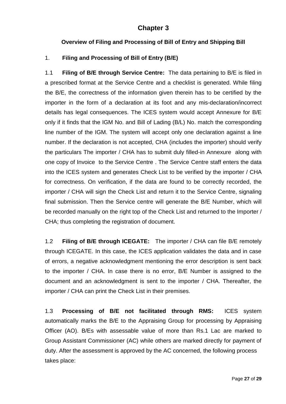#### **Chapter 3**

#### **Overview of Filing and Processing of Bill of Entry and Shipping Bill**

#### 1. **Filing and Processing of Bill of Entry (B/E)**

1.1 **Filing of B/E through Service Centre:** The data pertaining to B/E is filed in a prescribed format at the Service Centre and a checklist is generated. While filing the B/E, the correctness of the information given therein has to be certified by the importer in the form of a declaration at its foot and any mis-declaration/incorrect details has legal consequences. The ICES system would accept Annexure for B/E only if it finds that the IGM No. and Bill of Lading (B/L) No. match the corresponding line number of the IGM. The system will accept only one declaration against a line number. If the declaration is not accepted, CHA (includes the importer) should verify the particulars The importer / CHA has to submit duly filled-in Annexure along with one copy of Invoice to the Service Centre . The Service Centre staff enters the data into the ICES system and generates Check List to be verified by the importer / CHA for correctness. On verification, if the data are found to be correctly recorded, the importer / CHA will sign the Check List and return it to the Service Centre, signaling final submission. Then the Service centre will generate the B/E Number, which will be recorded manually on the right top of the Check List and returned to the Importer / CHA; thus completing the registration of document.

1.2 **Filing of B/E through ICEGATE:** The importer / CHA can file B/E remotely through ICEGATE. In this case, the ICES application validates the data and in case of errors, a negative acknowledgment mentioning the error description is sent back to the importer / CHA. In case there is no error, B/E Number is assigned to the document and an acknowledgment is sent to the importer / CHA. Thereafter, the importer / CHA can print the Check List in their premises.

1.3 **Processing of B/E not facilitated through RMS:** ICES system automatically marks the B/E to the Appraising Group for processing by Appraising Officer (AO). B/Es with assessable value of more than Rs.1 Lac are marked to Group Assistant Commissioner (AC) while others are marked directly for payment of duty. After the assessment is approved by the AC concerned, the following process takes place: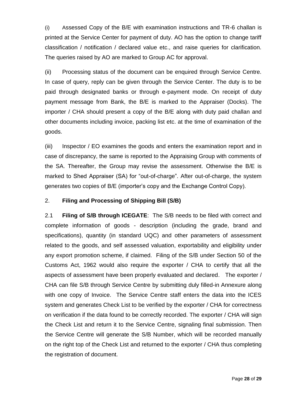(i) Assessed Copy of the B/E with examination instructions and TR-6 challan is printed at the Service Center for payment of duty. AO has the option to change tariff classification / notification / declared value etc., and raise queries for clarification. The queries raised by AO are marked to Group AC for approval.

(ii) Processing status of the document can be enquired through Service Centre. In case of query, reply can be given through the Service Center. The duty is to be paid through designated banks or through e-payment mode. On receipt of duty payment message from Bank, the B/E is marked to the Appraiser (Docks). The importer / CHA should present a copy of the B/E along with duty paid challan and other documents including invoice, packing list etc. at the time of examination of the goods.

(iii) Inspector / EO examines the goods and enters the examination report and in case of discrepancy, the same is reported to the Appraising Group with comments of the SA. Thereafter, the Group may revise the assessment. Otherwise the B/E is marked to Shed Appraiser (SA) for "out-of-charge". After out-of-charge, the system generates two copies of B/E (importer"s copy and the Exchange Control Copy).

#### 2. **Filing and Processing of Shipping Bill (S/B)**

2.1 **Filing of S/B through ICEGATE**: The S/B needs to be filed with correct and complete information of goods - description (including the grade, brand and specifications), quantity (in standard UQC) and other parameters of assessment related to the goods, and self assessed valuation, exportability and eligibility under any export promotion scheme, if claimed. Filing of the S/B under Section 50 of the Customs Act, 1962 would also require the exporter / CHA to certify that all the aspects of assessment have been properly evaluated and declared. The exporter / CHA can file S/B through Service Centre by submitting duly filled-in Annexure along with one copy of Invoice. The Service Centre staff enters the data into the ICES system and generates Check List to be verified by the exporter / CHA for correctness on verification if the data found to be correctly recorded. The exporter / CHA will sign the Check List and return it to the Service Centre, signaling final submission. Then the Service Centre will generate the S/B Number, which will be recorded manually on the right top of the Check List and returned to the exporter / CHA thus completing the registration of document.